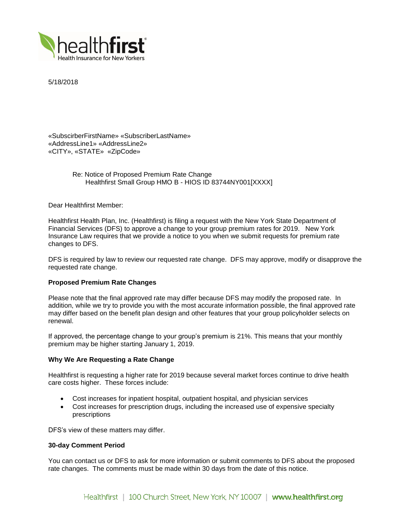

5/18/2018

«SubscirberFirstName» «SubscriberLastName» «AddressLine1» «AddressLine2» «CITY», «STATE» «ZipCode»

> Re: Notice of Proposed Premium Rate Change Healthfirst Small Group HMO B - HIOS ID 83744NY001[XXXX]

Dear Healthfirst Member:

Healthfirst Health Plan, Inc. (Healthfirst) is filing a request with the New York State Department of Financial Services (DFS) to approve a change to your group premium rates for 2019. New York Insurance Law requires that we provide a notice to you when we submit requests for premium rate changes to DFS.

DFS is required by law to review our requested rate change. DFS may approve, modify or disapprove the requested rate change.

# **Proposed Premium Rate Changes**

Please note that the final approved rate may differ because DFS may modify the proposed rate. In addition, while we try to provide you with the most accurate information possible, the final approved rate may differ based on the benefit plan design and other features that your group policyholder selects on renewal.

If approved, the percentage change to your group's premium is 21%. This means that your monthly premium may be higher starting January 1, 2019.

## **Why We Are Requesting a Rate Change**

Healthfirst is requesting a higher rate for 2019 because several market forces continue to drive health care costs higher. These forces include:

- Cost increases for inpatient hospital, outpatient hospital, and physician services
- Cost increases for prescription drugs, including the increased use of expensive specialty prescriptions

DFS's view of these matters may differ.

## **30-day Comment Period**

You can contact us or DFS to ask for more information or submit comments to DFS about the proposed rate changes. The comments must be made within 30 days from the date of this notice.